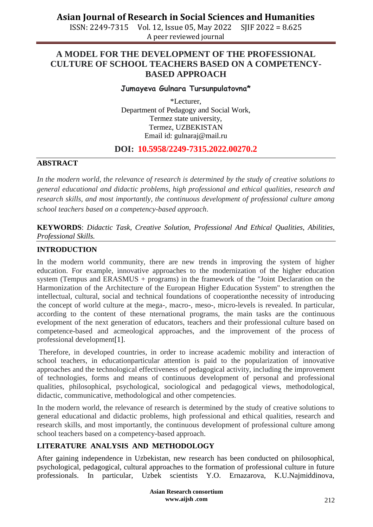ISSN: 2249-7315 Vol. 12, Issue 05, May 2022 SJIF 2022 = 8.625 A peer reviewed journal

### **A MODEL FOR THE DEVELOPMENT OF THE PROFESSIONAL CULTURE OF SCHOOL TEACHERS BASED ON A COMPETENCY-BASED APPROACH**

#### **Jumayeva Gulnara Tursunpulatovna\***

\*Lecturer, Department of Pedagogy and Social Work, Termez state university, Termez, UZBEKISTAN Email id: [gulnaraj@mail.ru](mailto:gulnaraj@mail.ru)

### **DOI: 10.5958/2249-7315.2022.00270.2**

#### **ABSTRACT**

*In the modern world, the relevance of research is determined by the study of creative solutions to general educational and didactic problems, high professional and ethical qualities, research and research skills, and most importantly, the continuous development of professional culture among school teachers based on a competency-based approach*.

**KEYWORDS**: *Didactic Task, Creative Solution, Professional And Ethical Qualities, Abilities, Professional Skills.*

#### **INTRODUCTION**

In the modern world community, there are new trends in improving the system of higher education. For example, innovative approaches to the modernization of the higher education system (Tempus and ERASMUS + programs) in the framework of the "Joint Declaration on the Harmonization of the Architecture of the European Higher Education System" to strengthen the intellectual, cultural, social and technical foundations of cooperationthe necessity of introducing the concept of world culture at the mega-, macro-, meso-, micro-levels is revealed. In particular, according to the content of these nternational programs, the main tasks are the continuous evelopment of the next generation of educators, teachers and their professional culture based on competence-based and acmeological approaches, and the improvement of the process of professional development[1].

Therefore, in developed countries, in order to increase academic mobility and interaction of school teachers, in educationparticular attention is paid to the popularization of innovative approaches and the technological effectiveness of pedagogical activity, including the improvement of technologies, forms and means of continuous development of personal and professional qualities, philosophical, psychological, sociological and pedagogical views, methodological, didactic, communicative, methodological and other competencies.

In the modern world, the relevance of research is determined by the study of creative solutions to general educational and didactic problems, high professional and ethical qualities, research and research skills, and most importantly, the continuous development of professional culture among school teachers based on a competency-based approach.

### **LITERATURE ANALYSIS AND METHODOLOGY**

After gaining independence in Uzbekistan, new research has been conducted on philosophical, psychological, pedagogical, cultural approaches to the formation of professional culture in future professionals. In particular, Uzbek scientists Y.O. Ernazarova, K.U.Najmiddinova,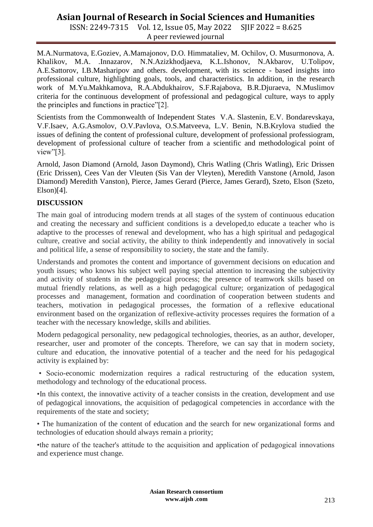ISSN: 2249-7315 Vol. 12, Issue 05, May 2022 SJIF 2022 = 8.625 A peer reviewed journal

M.A.Nurmatova, E.Goziev, A.Mamajonov, D.O. Himmataliev, M. Ochilov, O. Musurmonova, A. Khalikov, M.A. .Innazarov, N.N.Azizkhodjaeva, K.L.Ishonov, N.Akbarov, U.Tolipov, A.E.Sattorov, I.B.Masharipov and others. development, with its science - based insights into professional culture, highlighting goals, tools, and characteristics. In addition, in the research work of M.Yu.Makhkamova, R.A.Abdukhairov, S.F.Rajabova, B.R.Djuraeva, N.Muslimov criteria for the continuous development of professional and pedagogical culture, ways to apply the principles and functions in practice"[2].

Scientists from the Commonwealth of Independent States V.A. Slastenin, E.V. Bondarevskaya, V.F.Isaev, A.G.Asmolov, O.V.Pavlova, O.S.Matveeva, L.V. Benin, N.B.Krylova studied the issues of defining the content of professional culture, development of professional professiogram, development of professional culture of teacher from a scientific and methodological point of view"[3].

Arnold, Jason Diamond (Arnold, Jason Daymond), Chris Watling (Chris Watling), Eric Drissen (Eric Drissen), Cees Van der Vleuten (Sis Van der Vleyten), Meredith Vanstone (Arnold, Jason Diamond) Meredith Vanston), Pierce, James Gerard (Pierce, James Gerard), Szeto, Elson (Szeto,  $Elson[4]$ .

### **DISCUSSION**

The main goal of introducing modern trends at all stages of the system of continuous education and creating the necessary and sufficient conditions is a developed,to educate a teacher who is adaptive to the processes of renewal and development, who has a high spiritual and pedagogical culture, creative and social activity, the ability to think independently and innovatively in social and political life, a sense of responsibility to society, the state and the family.

Understands and promotes the content and importance of government decisions on education and youth issues; who knows his subject well paying special attention to increasing the subjectivity and activity of students in the pedagogical process; the presence of teamwork skills based on mutual friendly relations, as well as a high pedagogical culture; organization of pedagogical processes and management, formation and coordination of cooperation between students and teachers, motivation in pedagogical processes, the formation of a reflexive educational environment based on the organization of reflexive-activity processes requires the formation of a teacher with the necessary knowledge, skills and abilities.

Modern pedagogical personality, new pedagogical technologies, theories, as an author, developer, researcher, user and promoter of the concepts. Therefore, we can say that in modern society, culture and education, the innovative potential of a teacher and the need for his pedagogical activity is explained by:

• Socio-economic modernization requires a radical restructuring of the education system, methodology and technology of the educational process.

•In this context, the innovative activity of a teacher consists in the creation, development and use of pedagogical innovations, the acquisition of pedagogical competencies in accordance with the requirements of the state and society;

• The humanization of the content of education and the search for new organizational forms and technologies of education should always remain a priority;

•the nature of the teacher's attitude to the acquisition and application of pedagogical innovations and experience must change.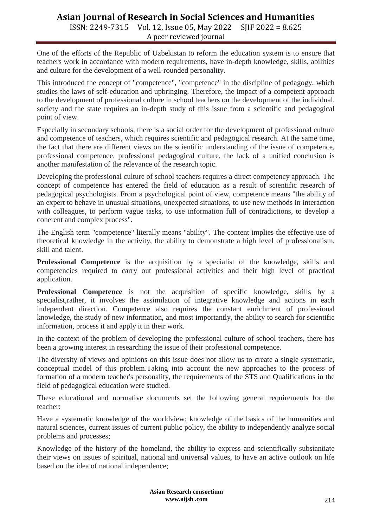ISSN: 2249-7315 Vol. 12, Issue 05, May 2022 SJIF 2022 = 8.625 A peer reviewed journal

One of the efforts of the Republic of Uzbekistan to reform the education system is to ensure that teachers work in accordance with modern requirements, have in-depth knowledge, skills, abilities and culture for the development of a well-rounded personality.

This introduced the concept of "competence", "competence" in the discipline of pedagogy, which studies the laws of self-education and upbringing. Therefore, the impact of a competent approach to the development of professional culture in school teachers on the development of the individual, society and the state requires an in-depth study of this issue from a scientific and pedagogical point of view.

Especially in secondary schools, there is a social order for the development of professional culture and competence of teachers, which requires scientific and pedagogical research. At the same time, the fact that there are different views on the scientific understanding of the issue of competence, professional competence, professional pedagogical culture, the lack of a unified conclusion is another manifestation of the relevance of the research topic.

Developing the professional culture of school teachers requires a direct competency approach. The concept of competence has entered the field of education as a result of scientific research of pedagogical psychologists. From a psychological point of view, competence means "the ability of an expert to behave in unusual situations, unexpected situations, to use new methods in interaction with colleagues, to perform vague tasks, to use information full of contradictions, to develop a coherent and complex process".

The English term "competence" literally means "ability". The content implies the effective use of theoretical knowledge in the activity, the ability to demonstrate a high level of professionalism, skill and talent.

**Professional Competence** is the acquisition by a specialist of the knowledge, skills and competencies required to carry out professional activities and their high level of practical application.

**Professional Competence** is not the acquisition of specific knowledge, skills by a specialist,rather, it involves the assimilation of integrative knowledge and actions in each independent direction. Competence also requires the constant enrichment of professional knowledge, the study of new information, and most importantly, the ability to search for scientific information, process it and apply it in their work.

In the context of the problem of developing the professional culture of school teachers, there has been a growing interest in researching the issue of their professional competence.

The diversity of views and opinions on this issue does not allow us to create a single systematic, conceptual model of this problem.Taking into account the new approaches to the process of formation of a modern teacher's personality, the requirements of the STS and Qualifications in the field of pedagogical education were studied.

These educational and normative documents set the following general requirements for the teacher:

Have a systematic knowledge of the worldview; knowledge of the basics of the humanities and natural sciences, current issues of current public policy, the ability to independently analyze social problems and processes;

Knowledge of the history of the homeland, the ability to express and scientifically substantiate their views on issues of spiritual, national and universal values, to have an active outlook on life based on the idea of national independence;

> **Asian Research consortium www.aijsh .com**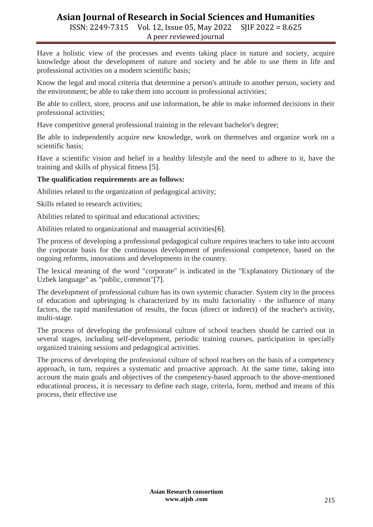ISSN: 2249-7315 Vol. 12, Issue 05, May 2022 SJIF 2022 = 8.625 A peer reviewed journal

Have a holistic view of the processes and events taking place in nature and society, acquire knowledge about the development of nature and society and be able to use them in life and professional activities on a modern scientific basis;

Know the legal and moral criteria that determine a person's attitude to another person, society and the environment; be able to take them into account in professional activities;

Be able to collect, store, process and use information, be able to make informed decisions in their professional activities;

Have competitive general professional training in the relevant bachelor's degree;

Be able to independently acquire new knowledge, work on themselves and organize work on a scientific basis;

Have a scientific vision and belief in a healthy lifestyle and the need to adhere to it, have the training and skills of physical fitness [5].

#### **The qualification requirements are as follows:**

Abilities related to the organization of pedagogical activity;

Skills related to research activities;

Abilities related to spiritual and educational activities;

Abilities related to organizational and managerial activities[6].

The process of developing a professional pedagogical culture requires teachers to take into account the corporate basis for the continuous development of professional competence, based on the ongoing reforms, innovations and developments in the country.

The lexical meaning of the word "corporate" is indicated in the "Explanatory Dictionary of the Uzbek language" as "public, common"[7].

The development of professional culture has its own systemic character. System city in the process of education and upbringing is characterized by its multi factoriality - the influence of many factors, the rapid manifestation of results, the focus (direct or indirect) of the teacher's activity, multi-stage.

The process of developing the professional culture of school teachers should be carried out in several stages, including self-development, periodic training courses, participation in specially organized training sessions and pedagogical activities.

The process of developing the professional culture of school teachers on the basis of a competency approach, in turn, requires a systematic and proactive approach. At the same time, taking into account the main goals and objectives of the competency-based approach to the above-mentioned educational process, it is necessary to define each stage, criteria, form, method and means of this process, their effective use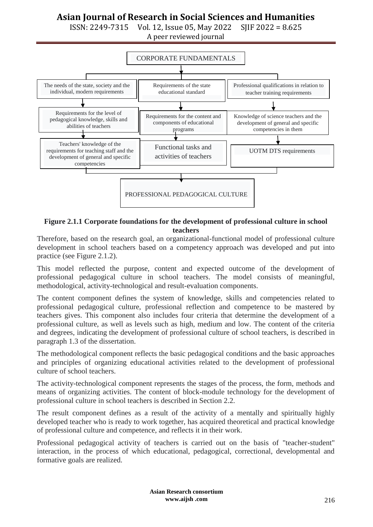ISSN: 2249-7315 Vol. 12, Issue 05, May 2022 SJIF 2022 = 8.625

A peer reviewed journal



**Figure 2.1.1 Corporate foundations for the development of professional culture in school teachers**

Therefore, based on the research goal, an organizational-functional model of professional culture development in school teachers based on a competency approach was developed and put into practice (see Figure 2.1.2).

This model reflected the purpose, content and expected outcome of the development of professional pedagogical culture in school teachers. The model consists of meaningful, methodological, activity-technological and result-evaluation components.

The content component defines the system of knowledge, skills and competencies related to professional pedagogical culture, professional reflection and competence to be mastered by teachers gives. This component also includes four criteria that determine the development of a professional culture, as well as levels such as high, medium and low. The content of the criteria and degrees, indicating the development of professional culture of school teachers, is described in paragraph 1.3 of the dissertation.

The methodological component reflects the basic pedagogical conditions and the basic approaches and principles of organizing educational activities related to the development of professional culture of school teachers.

The activity-technological component represents the stages of the process, the form, methods and means of organizing activities. The content of block-module technology for the development of professional culture in school teachers is described in Section 2.2.

The result component defines as a result of the activity of a mentally and spiritually highly developed teacher who is ready to work together, has acquired theoretical and practical knowledge of professional culture and competence, and reflects it in their work.

Professional pedagogical activity of teachers is carried out on the basis of "teacher-student" interaction, in the process of which educational, pedagogical, correctional, developmental and formative goals are realized.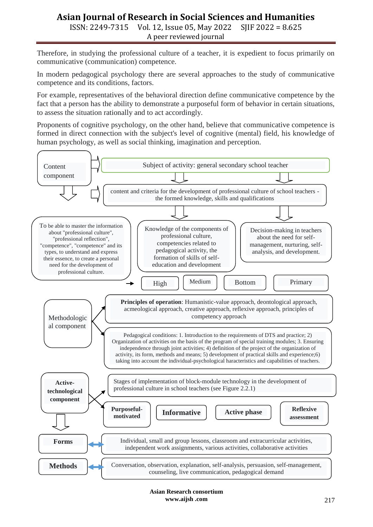ISSN: 2249-7315 Vol. 12, Issue 05, May 2022 SJIF 2022 = 8.625 A peer reviewed journal

Therefore, in studying the professional culture of a teacher, it is expedient to focus primarily on communicative (communication) competence.

In modern pedagogical psychology there are several approaches to the study of communicative competence and its conditions, factors.

For example, representatives of the behavioral direction define communicative competence by the fact that a person has the ability to demonstrate a purposeful form of behavior in certain situations, to assess the situation rationally and to act accordingly.

Proponents of cognitive psychology, on the other hand, believe that communicative competence is formed in direct connection with the subject's level of cognitive (mental) field, his knowledge of human psychology, as well as social thinking, imagination and perception.



**Asian Research consortium www.aijsh .com**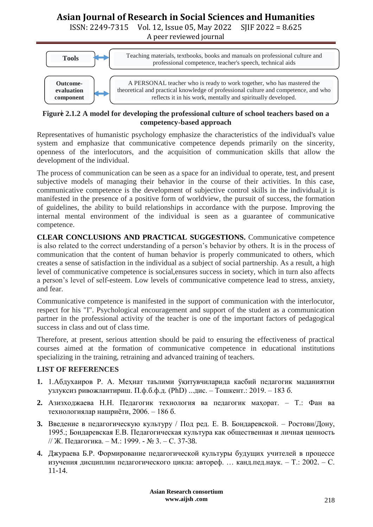ISSN: 2249-7315 Vol. 12, Issue 05, May 2022 SJIF 2022 = 8.625

A peer reviewed journal



#### **Figure 2.1.2 A model for developing the professional culture of school teachers based on a competency-based approach**

Representatives of humanistic psychology emphasize the characteristics of the individual's value system and emphasize that communicative competence depends primarily on the sincerity, openness of the interlocutors, and the acquisition of communication skills that allow the development of the individual.

The process of communication can be seen as a space for an individual to operate, test, and present subjective models of managing their behavior in the course of their activities. In this case, communicative competence is the development of subjective control skills in the individual,it is manifested in the presence of a positive form of worldview, the pursuit of success, the formation of guidelines, the ability to build relationships in accordance with the purpose. Improving the internal mental environment of the individual is seen as a guarantee of communicative competence.

**CLEAR CONCLUSIONS AND PRACTICAL SUGGESTIONS.** Communicative competence is also related to the correct understanding of a person's behavior by others. It is in the process of communication that the content of human behavior is properly communicated to others, which creates a sense of satisfaction in the individual as a subject of social partnership. As a result, a high level of communicative competence is social,ensures success in society, which in turn also affects a person's level of self-esteem. Low levels of communicative competence lead to stress, anxiety, and fear.

Communicative competence is manifested in the support of communication with the interlocutor, respect for his "I". Psychological encouragement and support of the student as a communication partner in the professional activity of the teacher is one of the important factors of pedagogical success in class and out of class time.

Therefore, at present, serious attention should be paid to ensuring the effectiveness of practical courses aimed at the formation of communicative competence in educational institutions specializing in the training, retraining and advanced training of teachers.

### **LIST OF REFERENCES**

- **1.** 1.Абдухаиров Р. А. Меҳнат таълими ўқитувчиларида касбий педагогик маданиятни узлуксиз ривожлантириш. П.ф.б.ф.д. (PhD) ...дис. – Тошкент.: 2019. – 183 б.
- **2.** Азизходжаева Н.Н. Педагогик технология ва педагогик маҳорат. Т.: Фан ва технологиялар нашриѐти, 2006. – 186 б.
- **3.** Введение в педагогическую культуру / Под ред. Е. В. Бондаревской. Ростовн/Дону, 1995.; Бондаревская Е.В. Педагогическая культура как общественная и личная ценность // Ж. Педагогика. – М.: 1999. - № 3. – С. 37-38.
- **4.** Джураева Б.Р. Формирование педагогической культуры будущих учителей в процессе изучения дисциплин педагогического цикла: автореф. … канд.пед.наук. – Т.: 2002. – С. 11-14.